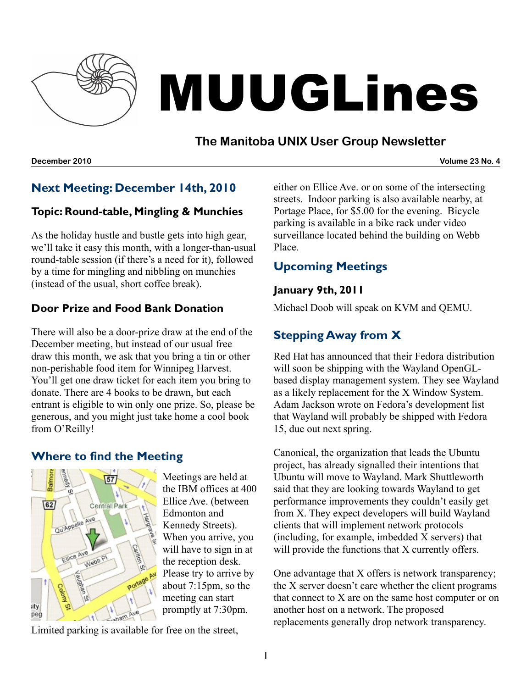

# MUUGLines

## **The Manitoba UNIX User Group Newsletter**

#### **December 2010 Volume 23 No. 4**

## **Next Meeting: December 14th, 2010**

#### **Topic: Round-table, Mingling & Munchies**

As the holiday hustle and bustle gets into high gear, we'll take it easy this month, with a longer-than-usual round-table session (if there's a need for it), followed by a time for mingling and nibbling on munchies (instead of the usual, short coffee break).

#### **Door Prize and Food Bank Donation**

There will also be a door-prize draw at the end of the December meeting, but instead of our usual free draw this month, we ask that you bring a tin or other non-perishable food item for Winnipeg Harvest. You'll get one draw ticket for each item you bring to donate. There are 4 books to be drawn, but each entrant is eligible to win only one prize. So, please be generous, and you might just take home a cool book from O'Reilly!

#### **Where to find the Meeting**



Meetings are held at the IBM offices at 400 Ellice Ave. (between Edmonton and Kennedy Streets). When you arrive, you will have to sign in at the reception desk. Please try to arrive by about 7:15pm, so the meeting can start promptly at 7:30pm.

Limited parking is available for free on the street,

either on Ellice Ave. or on some of the intersecting streets. Indoor parking is also available nearby, at Portage Place, for \$5.00 for the evening. Bicycle parking is available in a bike rack under video surveillance located behind the building on Webb Place.

## **Upcoming Meetings**

#### **January 9th, 2011**

Michael Doob will speak on KVM and QEMU.

## **Stepping Away from X**

Red Hat has announced that their Fedora distribution will soon be shipping with the Wayland OpenGLbased display management system. They see Wayland as a likely replacement for the X Window System. Adam Jackson wrote on Fedora's development list that Wayland will probably be shipped with Fedora 15, due out next spring.

Canonical, the organization that leads the Ubuntu project, has already signalled their intentions that Ubuntu will move to Wayland. Mark Shuttleworth said that they are looking towards Wayland to get performance improvements they couldn't easily get from X. They expect developers will build Wayland clients that will implement network protocols (including, for example, imbedded X servers) that will provide the functions that X currently offers.

One advantage that X offers is network transparency; the X server doesn't care whether the client programs that connect to X are on the same host computer or on another host on a network. The proposed replacements generally drop network transparency.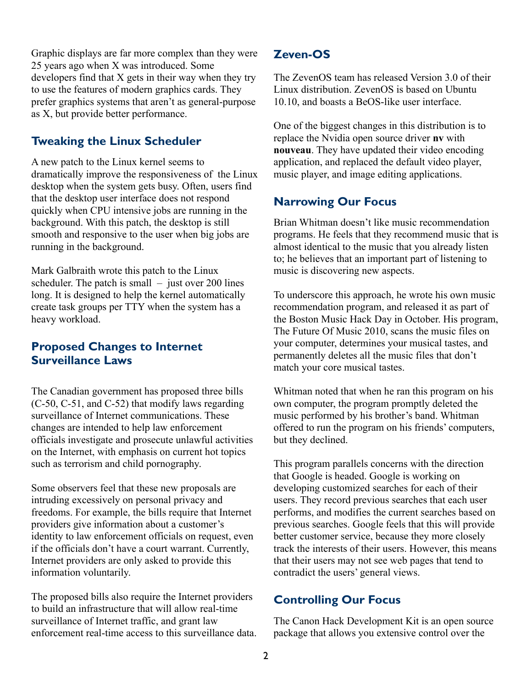Graphic displays are far more complex than they were 25 years ago when X was introduced. Some developers find that X gets in their way when they try to use the features of modern graphics cards. They prefer graphics systems that aren't as general-purpose as X, but provide better performance.

### **Tweaking the Linux Scheduler**

A new patch to the Linux kernel seems to dramatically improve the responsiveness of the Linux desktop when the system gets busy. Often, users find that the desktop user interface does not respond quickly when CPU intensive jobs are running in the background. With this patch, the desktop is still smooth and responsive to the user when big jobs are running in the background.

Mark Galbraith wrote this patch to the Linux scheduler. The patch is small  $-$  just over 200 lines long. It is designed to help the kernel automatically create task groups per TTY when the system has a heavy workload.

### **Proposed Changes to Internet Surveillance Laws**

The Canadian government has proposed three bills (C-50, C-51, and C-52) that modify laws regarding surveillance of Internet communications. These changes are intended to help law enforcement officials investigate and prosecute unlawful activities on the Internet, with emphasis on current hot topics such as terrorism and child pornography.

Some observers feel that these new proposals are intruding excessively on personal privacy and freedoms. For example, the bills require that Internet providers give information about a customer's identity to law enforcement officials on request, even if the officials don't have a court warrant. Currently, Internet providers are only asked to provide this information voluntarily.

The proposed bills also require the Internet providers to build an infrastructure that will allow real-time surveillance of Internet traffic, and grant law enforcement real-time access to this surveillance data.

#### **Zeven-OS**

The ZevenOS team has released Version 3.0 of their Linux distribution. ZevenOS is based on Ubuntu 10.10, and boasts a BeOS-like user interface.

One of the biggest changes in this distribution is to replace the Nvidia open source driver **nv** with **nouveau**. They have updated their video encoding application, and replaced the default video player, music player, and image editing applications.

## **Narrowing Our Focus**

Brian Whitman doesn't like music recommendation programs. He feels that they recommend music that is almost identical to the music that you already listen to; he believes that an important part of listening to music is discovering new aspects.

To underscore this approach, he wrote his own music recommendation program, and released it as part of the Boston Music Hack Day in October. His program, The Future Of Music 2010, scans the music files on your computer, determines your musical tastes, and permanently deletes all the music files that don't match your core musical tastes.

Whitman noted that when he ran this program on his own computer, the program promptly deleted the music performed by his brother's band. Whitman offered to run the program on his friends' computers, but they declined.

This program parallels concerns with the direction that Google is headed. Google is working on developing customized searches for each of their users. They record previous searches that each user performs, and modifies the current searches based on previous searches. Google feels that this will provide better customer service, because they more closely track the interests of their users. However, this means that their users may not see web pages that tend to contradict the users' general views.

#### **Controlling Our Focus**

The Canon Hack Development Kit is an open source package that allows you extensive control over the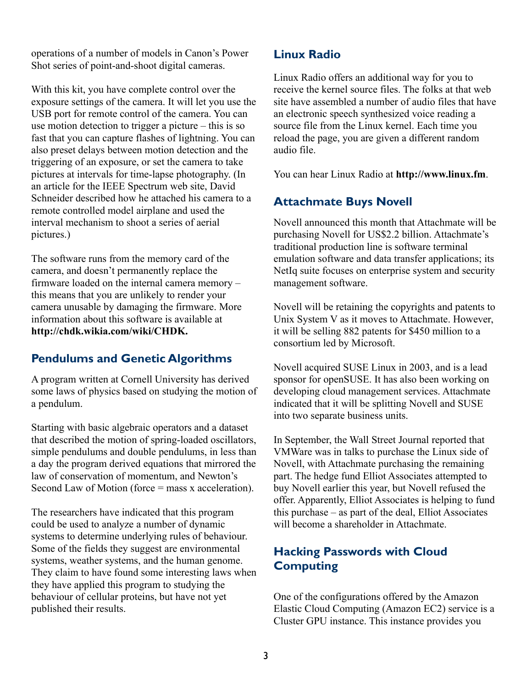operations of a number of models in Canon's Power Shot series of point-and-shoot digital cameras.

With this kit, you have complete control over the exposure settings of the camera. It will let you use the USB port for remote control of the camera. You can use motion detection to trigger a picture – this is so fast that you can capture flashes of lightning. You can also preset delays between motion detection and the triggering of an exposure, or set the camera to take pictures at intervals for time-lapse photography. (In an article for the IEEE Spectrum web site, David Schneider described how he attached his camera to a remote controlled model airplane and used the interval mechanism to shoot a series of aerial pictures.)

The software runs from the memory card of the camera, and doesn't permanently replace the firmware loaded on the internal camera memory – this means that you are unlikely to render your camera unusable by damaging the firmware. More information about this software is available at **[http://chdk.wikia.com/wiki/CHDK.](http://chdk.wikia.com/wiki/CHDK)**

## **Pendulums and Genetic Algorithms**

A program written at Cornell University has derived some laws of physics based on studying the motion of a pendulum.

Starting with basic algebraic operators and a dataset that described the motion of spring-loaded oscillators, simple pendulums and double pendulums, in less than a day the program derived equations that mirrored the law of conservation of momentum, and Newton's Second Law of Motion (force = mass x acceleration).

The researchers have indicated that this program could be used to analyze a number of dynamic systems to determine underlying rules of behaviour. Some of the fields they suggest are environmental systems, weather systems, and the human genome. They claim to have found some interesting laws when they have applied this program to studying the behaviour of cellular proteins, but have not yet published their results.

#### **Linux Radio**

Linux Radio offers an additional way for you to receive the kernel source files. The folks at that web site have assembled a number of audio files that have an electronic speech synthesized voice reading a source file from the Linux kernel. Each time you reload the page, you are given a different random audio file.

You can hear Linux Radio at **[http://www.linux.fm](http://www.linux.fm/)**.

### **Attachmate Buys Novell**

Novell announced this month that Attachmate will be purchasing Novell for US\$2.2 billion. Attachmate's traditional production line is software terminal emulation software and data transfer applications; its NetIq suite focuses on enterprise system and security management software.

Novell will be retaining the copyrights and patents to Unix System V as it moves to Attachmate. However, it will be selling 882 patents for \$450 million to a consortium led by Microsoft.

Novell acquired SUSE Linux in 2003, and is a lead sponsor for openSUSE. It has also been working on developing cloud management services. Attachmate indicated that it will be splitting Novell and SUSE into two separate business units.

In September, the Wall Street Journal reported that VMWare was in talks to purchase the Linux side of Novell, with Attachmate purchasing the remaining part. The hedge fund Elliot Associates attempted to buy Novell earlier this year, but Novell refused the offer. Apparently, Elliot Associates is helping to fund this purchase – as part of the deal, Elliot Associates will become a shareholder in Attachmate.

## **Hacking Passwords with Cloud Computing**

One of the configurations offered by the Amazon Elastic Cloud Computing (Amazon EC2) service is a Cluster GPU instance. This instance provides you